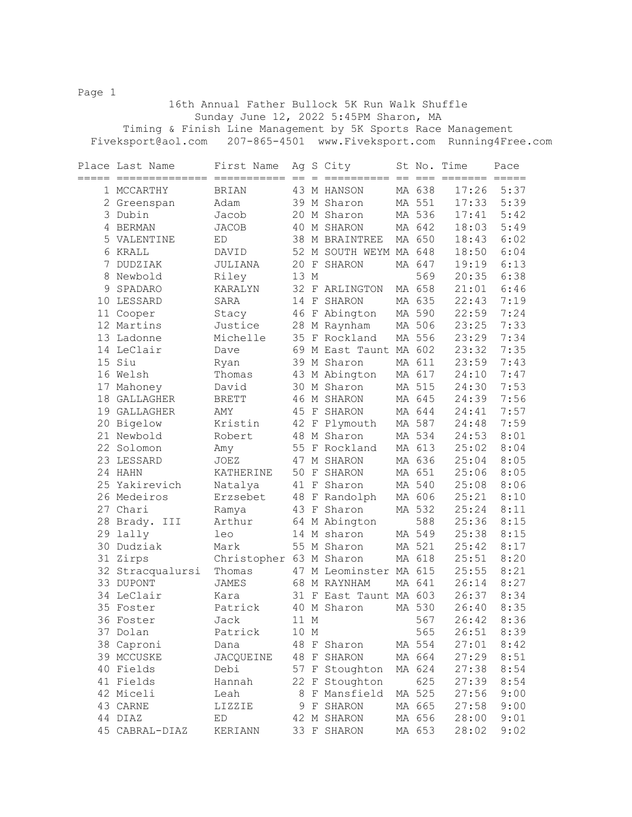Page 1 16th Annual Father Bullock 5K Run Walk Shuffle Sunday June 12, 2022 5:45PM Sharon, MA Timing & Finish Line Management by 5K Sports Race Management Fiveksport@aol.com 207-865-4501 www.Fiveksport.com Running4Free.com

|             | Place Last Name<br>============== | First Name              |      |             | Ag S City              | St No.<br>$=$ $=$ $=$ | Time<br>======= | Pace<br>$=$ $=$ $=$ $=$ |
|-------------|-----------------------------------|-------------------------|------|-------------|------------------------|-----------------------|-----------------|-------------------------|
|             | 1 MCCARTHY                        | BRIAN                   |      |             | 43 M HANSON            | MA 638                | 17:26           | 5:37                    |
|             | 2 Greenspan                       | Adam                    |      |             | 39 M Sharon            | MA 551                | 17:33           | 5:39                    |
|             | 3 Dubin                           | Jacob                   |      |             | 20 M Sharon            | MA 536                | 17:41           | 5:42                    |
|             | 4 BERMAN                          | <b>JACOB</b>            | 40   |             | M SHARON               | MA 642                | 18:03           | 5:49                    |
|             | 5 VALENTINE                       | ED                      |      |             | 38 M BRAINTREE         | MA 650                | 18:43           | 6:02                    |
|             | 6 KRALL                           | DAVID                   |      |             | 52 M SOUTH WEYM MA 648 |                       | 18:50           | 6:04                    |
| $7^{\circ}$ | DUDZIAK                           | JULIANA                 | 20   |             | F SHARON               | MA 647                | 19:19           | 6:13                    |
| 8           | Newbold                           | Riley                   | 13 M |             |                        | 569                   | 20:35           | 6:38                    |
| 9           | SPADARO                           | KARALYN                 |      |             | 32 F ARLINGTON         | MA 658                | 21:01           | 6:46                    |
| 10          | LESSARD                           | SARA                    |      |             | 14 F SHARON            | MA 635                | 22:43           | 7:19                    |
|             | 11 Cooper                         | Stacy                   | 46   |             | F Abington             | MA 590                | 22:59           | 7:24                    |
|             | 12 Martins                        | Justice                 |      |             | 28 M Raynham           | MA 506                | 23:25           | 7:33                    |
|             | 13 Ladonne                        | Michelle                |      |             | 35 F Rockland          | MA 556                | 23:29           | 7:34                    |
|             | 14 LeClair                        | Dave                    |      |             | 69 M East Taunt MA 602 |                       | 23:32           | 7:35                    |
|             | 15 Siu                            | Ryan                    |      |             | 39 M Sharon            | MA 611                | 23:59           | 7:43                    |
|             | 16 Welsh                          | Thomas                  |      |             | 43 M Abington          | MA 617                | 24:10           | 7:47                    |
|             | 17 Mahoney                        | David                   |      |             | 30 M Sharon            | MA 515                | 24:30           | 7:53                    |
| 18          | GALLAGHER                         | <b>BRETT</b>            | 46   |             | M SHARON               | MA 645                | 24:39           | 7:56                    |
|             | 19 GALLAGHER                      | AMY                     | 45   | $\rm F$     | SHARON                 | MA 644                | 24:41           | 7:57                    |
|             | 20 Bigelow                        | Kristin                 | 42   | $\mathbf F$ | Plymouth               | MA 587                | 24:48           | 7:59                    |
|             | 21 Newbold                        | Robert                  | 48   |             | M Sharon               | MA 534                | 24:53           | 8:01                    |
|             | 22 Solomon                        | Amy                     | 55   |             | F Rockland             | MA 613                | 25:02           | 8:04                    |
|             | 23 LESSARD                        | <b>JOEZ</b>             | 47   |             | M SHARON               | MA 636                | 25:04           | 8:05                    |
|             | 24 HAHN                           | KATHERINE               | 50   | $\mathbf F$ | SHARON                 | MA 651                | 25:06           | 8:05                    |
|             | 25 Yakirevich                     | Natalya                 | 41 F |             | Sharon                 | MA 540                | 25:08           | 8:06                    |
|             | 26 Medeiros                       | Erzsebet                | 48   |             | F Randolph             | MA 606                | 25:21           | 8:10                    |
|             | 27 Chari                          | Ramya                   |      |             | 43 F Sharon            | MA 532                | 25:24           | 8:11                    |
| 28          | Brady. III                        | Arthur                  |      |             | 64 M Abington          | 588                   | 25:36           | 8:15                    |
| 29          | lally                             | leo                     |      |             | 14 M sharon            | MA 549                | 25:38           | 8:15                    |
| 30          | Dudziak                           | Mark                    | 55   |             | M Sharon               | MA 521                | 25:42           | 8:17                    |
| 31          | Zirps                             | Christopher 63 M Sharon |      |             |                        | MA 618                | 25:51           | 8:20                    |
|             | 32 Stracqualursi                  | Thomas                  | 47   |             | M Leominster MA 615    |                       | 25:55           | 8:21                    |
|             | 33 DUPONT                         | <b>JAMES</b>            | 68   |             | M RAYNHAM              | MA 641                | 26:14           | 8:27                    |
|             | 34 LeClair                        | Kara                    |      |             | 31 F East Taunt MA 603 |                       | 26:37           | 8:34                    |
|             | 35 Foster                         | Patrick                 |      |             | 40 M Sharon            | MA 530                | 26:40           | 8:35                    |
| 36          | Foster                            | Jack                    | 11 M |             |                        | 567                   | 26:42           | 8:36                    |
|             | 37 Dolan                          | Patrick                 | 10 M |             |                        | 565                   | 26:51           | 8:39                    |
|             | 38 Caproni                        | Dana                    | 48   |             | F Sharon               | MA 554                | 27:01           | 8:42                    |
|             | 39 MCCUSKE                        | JACQUEINE               | 48   |             | F SHARON               | MA 664                | 27:29           | 8:51                    |
|             | 40 Fields                         | Debi                    |      |             | 57 F Stoughton         | MA 624                | 27:38           | 8:54                    |
|             | 41 Fields                         | Hannah                  | 22   |             | F Stoughton            | 625                   | 27:39           | 8:54                    |
|             | 42 Miceli                         | Leah                    | 8    |             | F Mansfield            | MA 525                | 27:56           | 9:00                    |
|             | 43 CARNE                          | LIZZIE                  | 9    |             | F SHARON               | MA 665                | 27:58           | 9:00                    |
|             | 44 DIAZ                           | ED                      |      |             | 42 M SHARON            | MA 656                | 28:00           | 9:01                    |
|             | 45 CABRAL-DIAZ                    | KERIANN                 |      |             | 33 F SHARON            | MA 653                | 28:02           | 9:02                    |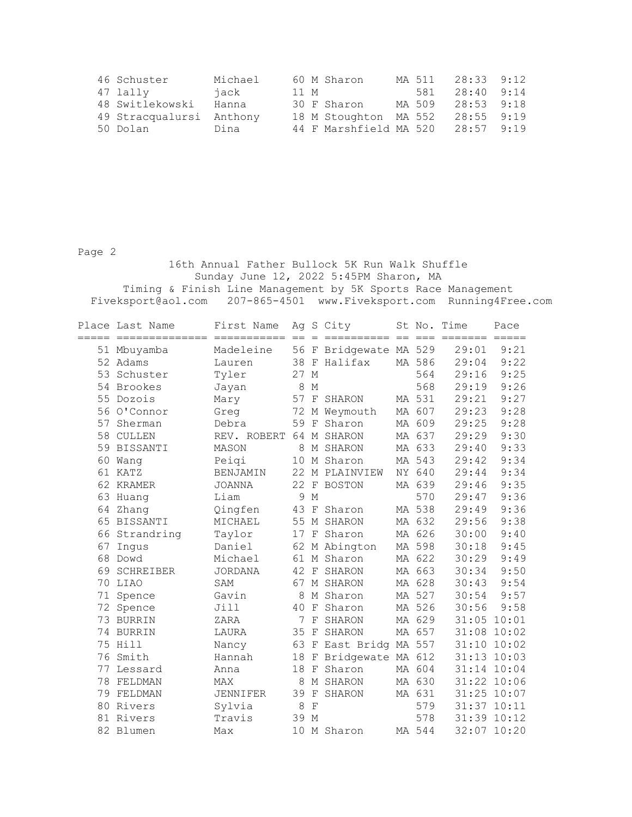| 46 Schuster              | Michael |      | 60 M Sharon            | MA 511 | $28:33$ $9:12$ |  |
|--------------------------|---------|------|------------------------|--------|----------------|--|
| 47 lally                 | iack    | 11 M |                        | 581    | $28:40$ 9:14   |  |
| 48 Switlekowski          | Hanna   |      | 30 F Sharon            | MA 509 | $28:53$ $9:18$ |  |
| 49 Stracqualursi Anthony |         |      | 18 M Stoughton MA 552  |        | $28:55$ $9:19$ |  |
| 50 Dolan                 | Dina    |      | 44 F Marshfield MA 520 |        | $28:57$ 9:19   |  |

Page 2

 16th Annual Father Bullock 5K Run Walk Shuffle Sunday June 12, 2022 5:45PM Sharon, MA Timing & Finish Line Management by 5K Sports Race Management Fiveksport@aol.com 207-865-4501 www.Fiveksport.com Running4Free.com

|          | Place Last Name | First Name      |      |              | Ag S City           |      |        | St No. Time | Pace                |
|----------|-----------------|-----------------|------|--------------|---------------------|------|--------|-------------|---------------------|
| $======$ | ==============  | =======         | $=$  |              | =========           | $==$ | $== =$ | =======     | $=$ $=$ $=$ $=$ $=$ |
|          | 51 Mbuyamba     | Madeleine       | 56   |              | F Bridgewate MA 529 |      |        | 29:01       | 9:21                |
|          | 52 Adams        | Lauren          |      |              | 38 F Halifax        |      | MA 586 | 29:04       | 9:22                |
| 53       | Schuster        | Tyler           | 27 M |              |                     |      | 564    | 29:16       | 9:25                |
|          | 54 Brookes      | Jayan           | 8    | М            |                     |      | 568    | 29:19       | 9:26                |
| 55       | Dozois          | Mary            | 57   | $\mathbf F$  | SHARON              |      | MA 531 | 29:21       | 9:27                |
|          | 56 O'Connor     | Greg            | 72   | М            | Weymouth            |      | MA 607 | 29:23       | 9:28                |
| 57       | Sherman         | Debra           | 59   | $_{\rm F}$   | Sharon              |      | MA 609 | 29:25       | 9:28                |
| 58       | CULLEN          | REV. ROBERT     | 64   |              | M SHARON            |      | MA 637 | 29:29       | 9:30                |
| 59       | BISSANTI        | MASON           | 8    |              | M SHARON            |      | MA 633 | 29:40       | 9:33                |
| 60       | Wang            | Peigi           | 10   |              | M Sharon            |      | MA 543 | 29:42       | 9:34                |
| 61       | KATZ            | BENJAMIN        | 22   |              | M PLAINVIEW         |      | NY 640 | 29:44       | 9:34                |
| 62       | KRAMER          | <b>JOANNA</b>   | 22   | F            | BOSTON              |      | MA 639 | 29:46       | 9:35                |
| 63       | Huang           | Liam            | 9    | $\mathbf M$  |                     |      | 570    | 29:47       | 9:36                |
| 64       | Zhang           | Qingfen         | 43   | $_{\rm F}$   | Sharon              |      | MA 538 | 29:49       | 9:36                |
| 65       | <b>BISSANTI</b> | MICHAEL         | 55   | М            | SHARON              |      | MA 632 | 29:56       | 9:38                |
| 66       | Strandring      | Taylor          | 17   | $\rm F$      | Sharon              |      | MA 626 | 30:00       | 9:40                |
| 67       | Inqus           | Daniel          | 62   |              | M Abington          |      | MA 598 | 30:18       | 9:45                |
| 68       | Dowd            | Michael         | 61   |              | M Sharon            |      | MA 622 | 30:29       | 9:49                |
| 69       | SCHREIBER       | <b>JORDANA</b>  | 42   | $\rm F$      | SHARON              |      | MA 663 | 30:34       | 9:50                |
| 70       | LIAO            | SAM             | 67   |              | M SHARON            |      | MA 628 | 30:43       | 9:54                |
| 71       | Spence          | Gavin           | 8    |              | M Sharon            |      | MA 527 | 30:54       | 9:57                |
|          | 72 Spence       | Jill            | 40   |              | F Sharon            |      | MA 526 | 30:56       | 9:58                |
| 73       | BURRIN          | ZARA            | 7    | F            | SHARON              |      | MA 629 | 31:05       | 10:01               |
| 74       | <b>BURRIN</b>   | LAURA           | 35   | $\mathbf{F}$ | SHARON              |      | MA 657 | 31:08       | 10:02               |
| 75       | Hill            | Nancy           | 63   | $\mathbf F$  | East Bridg MA 557   |      |        | 31:10       | 10:02               |
| 76       | Smith           | Hannah          | 18   | $\mathbf{F}$ | Bridgewate MA 612   |      |        | 31:13       | 10:03               |
| 77       | Lessard         | Anna            | 18   | $\mathbf{F}$ | Sharon              |      | MA 604 | 31:14       | 10:04               |
| 78       | FELDMAN         | <b>MAX</b>      | 8    |              | M SHARON            |      | MA 630 | 31:22       | 10:06               |
| 79       | FELDMAN         | <b>JENNIFER</b> | 39   | $\mathbf F$  | SHARON              |      | MA 631 | 31:25       | 10:07               |
| 80       | Rivers          | Sylvia          | 8    | $_{\rm F}$   |                     |      | 579    | 31:37 10:11 |                     |
| 81       | Rivers          | Travis          | 39   | $M_{\odot}$  |                     |      | 578    | 31:39       | 10:12               |
| 82       | Blumen          | Max             | 10   |              | M Sharon            |      | MA 544 | 32:07       | 10:20               |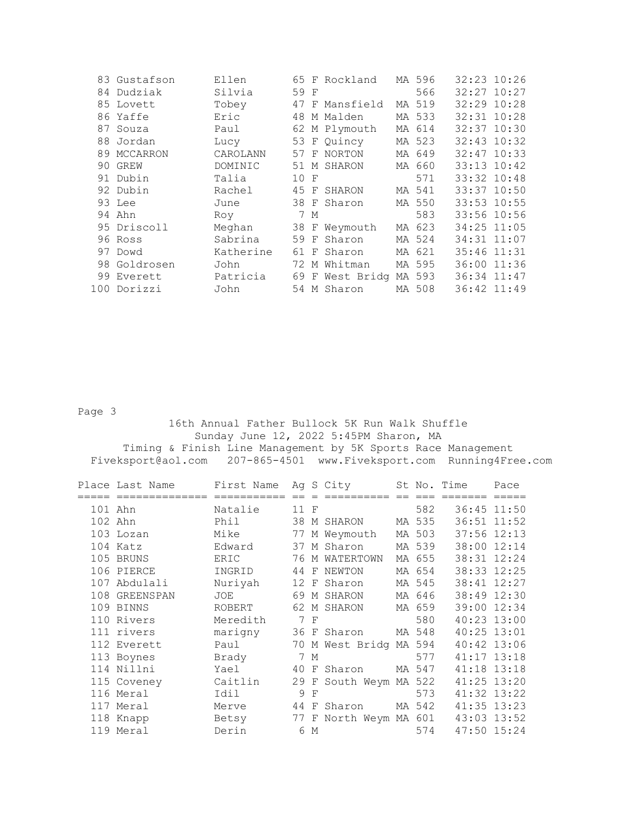| 83 Gustafson | Ellen     |      |     | 65 F Rockland          | MA 596 | $32:23$ $10:26$ |  |
|--------------|-----------|------|-----|------------------------|--------|-----------------|--|
| 84 Dudziak   | Silvia    | 59 F |     |                        | 566    | $32:27$ $10:27$ |  |
| 85 Lovett    | Tobey     |      |     | 47 F Mansfield         | MA 519 | 32:29 10:28     |  |
| 86 Yaffe     | Eric      |      |     | 48 M Malden            | MA 533 | 32:31 10:28     |  |
| 87 Souza     | Paul      |      |     | 62 M Plymouth          | MA 614 | $32:37$ $10:30$ |  |
| 88 Jordan    | Lucy      |      |     | 53 F Quincy            | MA 523 | $32:43$ $10:32$ |  |
| 89 MCCARRON  | CAROLANN  |      |     | 57 F NORTON            | MA 649 | $32:47$ 10:33   |  |
| 90 GREW      | DOMINIC   |      |     | 51 M SHARON            | MA 660 | $33:13$ $10:42$ |  |
| 91 Dubin     | Talia     | 10 F |     |                        | 571    | 33:32 10:48     |  |
| 92 Dubin     | Rachel    |      |     | 45 F SHARON            | MA 541 | 33:37 10:50     |  |
| 93 Lee       | June      |      |     | 38 F Sharon            | MA 550 | 33:53 10:55     |  |
| 94 Ahn       | Roy       |      | 7 M |                        | 583    | 33:56 10:56     |  |
| 95 Driscoll  | Meghan    |      |     | 38 F Weymouth          | MA 623 | 34:25 11:05     |  |
| 96 Ross      | Sabrina   |      |     | 59 F Sharon            | MA 524 | 34:31 11:07     |  |
| 97 Dowd      | Katherine |      |     | 61 F Sharon            | MA 621 | 35:46 11:31     |  |
| 98 Goldrosen | John      |      |     | 72 M Whitman           | MA 595 | 36:00 11:36     |  |
| 99 Everett   | Patricia  |      |     | 69 F West Bridg MA 593 |        | 36:34 11:47     |  |
| 100 Dorizzi  | John      |      |     | 54 M Sharon            | MA 508 | 36:42 11:49     |  |

Page 3

 16th Annual Father Bullock 5K Run Walk Shuffle Sunday June 12, 2022 5:45PM Sharon, MA Timing & Finish Line Management by 5K Sports Race Management Fiveksport@aol.com 207-865-4501 www.Fiveksport.com Running4Free.com

| Place Last Name | First Name |      |              | Ag S City              |        | St No. Time     | Pace |
|-----------------|------------|------|--------------|------------------------|--------|-----------------|------|
| ==============  |            |      |              |                        |        |                 |      |
| 101 Ahn         | Natalie    | 11 F |              |                        | 582    | 36:45 11:50     |      |
| 102 Ahn         | Phil       |      |              | 38 M SHARON            | MA 535 | 36:51 11:52     |      |
| 103 Lozan       | Mike       | 77   |              | M Weymouth             | MA 503 | $37:56$ $12:13$ |      |
| 104 Katz        | Edward     |      |              | 37 M Sharon            | MA 539 | 38:00 12:14     |      |
| 105 BRUNS       | ERIC       |      |              | 76 M WATERTOWN         | MA 655 | 38:31 12:24     |      |
| 106 PIERCE      | INGRID     | 44 F |              | NEWTON                 | MA 654 | 38:33 12:25     |      |
| 107 Abdulali    | Nuriyah    |      |              | 12 F Sharon            | MA 545 | 38:41 12:27     |      |
| 108 GREENSPAN   | JOE        |      |              | 69 M SHARON            | MA 646 | 38:49 12:30     |      |
| 109 BINNS       | ROBERT     |      |              | 62 M SHARON            | MA 659 | 39:00 12:34     |      |
| 110 Rivers      | Meredith   |      | 7 F          |                        | 580    | 40:23 13:00     |      |
| 111 rivers      | marigny    |      |              | 36 F Sharon            | MA 548 | $40:25$ 13:01   |      |
| 112 Everett     | Paul       |      |              | 70 M West Bridg MA 594 |        | 40:42 13:06     |      |
| 113 Boynes      | Brady      |      | 7 M          |                        | 577    | $41:17$ $13:18$ |      |
| 114 Nillni      | Yael       | 40   |              | F Sharon               | MA 547 | 41:18 13:18     |      |
| 115 Coveney     | Caitlin    | 29   |              | F South Weym MA 522    |        | $41:25$ $13:20$ |      |
| 116 Meral       | Idil       | 9    | $\mathbf{F}$ |                        | 573    | $41:32$ $13:22$ |      |
| 117 Meral       | Merve      | 44 F |              | Sharon                 | MA 542 | 41:35 13:23     |      |
| 118 Knapp       | Betsy      |      |              | 77 F North Weym MA 601 |        | 43:03 13:52     |      |
| 119 Meral       | Derin      |      | 6 M          |                        | 574    | 47:50 15:24     |      |